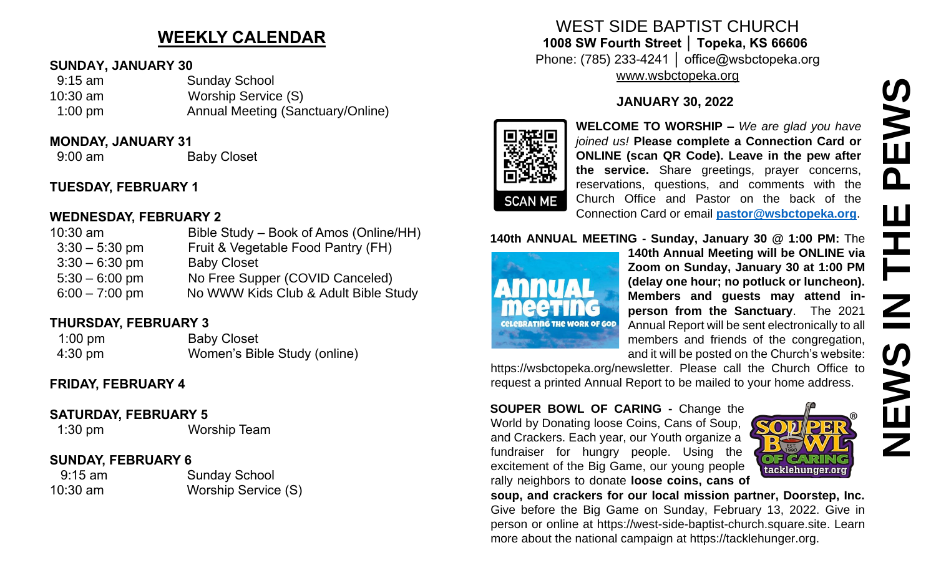# **WEEKLY CALENDAR**

#### **SUNDAY, JANUARY 30**

| $9:15$ am | <b>Sunday School</b>              |
|-----------|-----------------------------------|
| 10:30 am  | Worship Service (S)               |
| $1:00$ pm | Annual Meeting (Sanctuary/Online) |

#### **MONDAY, JANUARY 31**

9:00 am Baby Closet

# **TUESDAY, FEBRUARY 1**

### **WEDNESDAY, FEBRUARY 2**

| $10:30$ am       | Bible Study – Book of Amos (Online/HH) |
|------------------|----------------------------------------|
| $3:30 - 5:30$ pm | Fruit & Vegetable Food Pantry (FH)     |
| $3:30 - 6:30$ pm | <b>Baby Closet</b>                     |
| $5:30 - 6:00$ pm | No Free Supper (COVID Canceled)        |
| $6:00 - 7:00$ pm | No WWW Kids Club & Adult Bible Study   |

# **THURSDAY, FEBRUARY 3**

1:00 pm Baby Closet 4:30 pm Women's Bible Study (online)

# **FRIDAY, FEBRUARY 4**

### **SATURDAY, FEBRUARY 5**

1:30 pm Worship Team

# **SUNDAY, FEBRUARY 6**

 9:15 am Sunday School 10:30 am Worship Service (S)

### WEST SIDE BAPTIST CHURCH **1008 SW Fourth Street │ Topeka, KS 66606** Phone: (785) 233-4241 │ office@wsbctopeka.org [www.wsbctopeka.org](http://www.wsbctopeka.org/)

#### **JANUARY 30, 2022**



**WELCOME TO WORSHIP –** *We are glad you have joined us!* **Please complete a Connection Card or ONLINE (scan QR Code). Leave in the pew after the service.** Share greetings, prayer concerns, reservations, questions, and comments with the Church Office and Pastor on the back of the Connection Card or email **[pastor@wsbctopeka.org](mailto:pastor@wsbctopeka.org)**.

# **140th ANNUAL MEETING - Sunday, January 30 @ 1:00 PM:** The



**140th Annual Meeting will be ONLINE via Zoom on Sunday, January 30 at 1:00 PM (delay one hour; no potluck or luncheon). Members and guests may attend inperson from the Sanctuary**. The 2021 Annual Report will be sent electronically to all members and friends of the congregation, and it will be posted on the Church's website:

https://wsbctopeka.org/newsletter. Please call the Church Office to request a printed Annual Report to be mailed to your home address.

**SOUPER BOWL OF CARING -** Change the World by Donating loose Coins, Cans of Soup, and Crackers. Each year, our Youth organize a fundraiser for hungry people. Using the excitement of the Big Game, our young people rally neighbors to donate **loose coins, cans of** 



**soup, and crackers for our local mission partner, Doorstep, Inc.** Give before the Big Game on Sunday, February 13, 2022. Give in person or online at https://west-side-baptist-church.square.site. Learn more about the national campaign at https://tacklehunger.org.